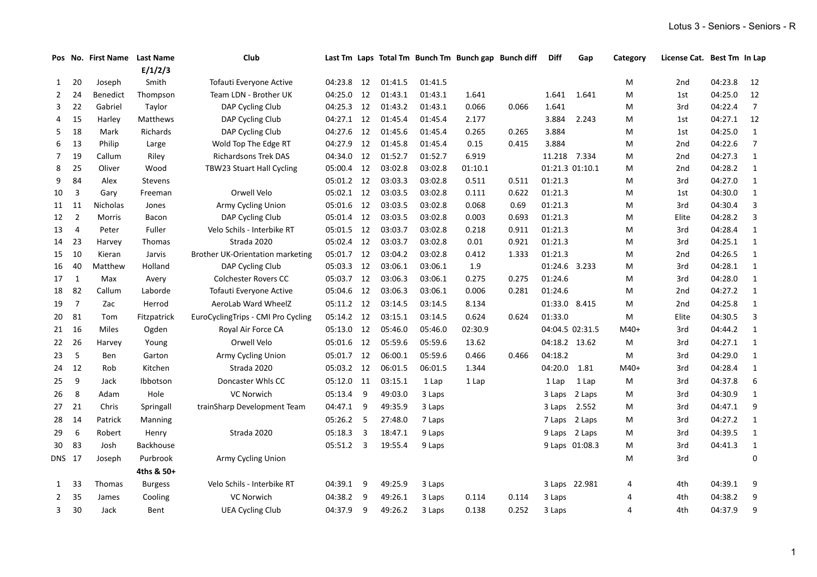|                |                | Pos No. First Name Last Name |                  | Club                                    |            |    |         |         | Last Tm Laps Total Tm Bunch Tm Bunch gap Bunch diff |       | <b>Diff</b>     | Gap            | Category | License Cat. Best Tm In Lap |         |                |
|----------------|----------------|------------------------------|------------------|-----------------------------------------|------------|----|---------|---------|-----------------------------------------------------|-------|-----------------|----------------|----------|-----------------------------|---------|----------------|
|                |                |                              | E/1/2/3          |                                         |            |    |         |         |                                                     |       |                 |                |          |                             |         |                |
| $\mathbf{1}$   | 20             | Joseph                       | Smith            | Tofauti Everyone Active                 | 04:23.8    | 12 | 01:41.5 | 01:41.5 |                                                     |       |                 |                | м        | 2nd                         | 04:23.8 | 12             |
| $2^{\circ}$    | 24             | <b>Benedict</b>              | Thompson         | Team LDN - Brother UK                   | 04:25.0    | 12 | 01:43.1 | 01:43.1 | 1.641                                               |       | 1.641           | 1.641          | м        | 1st                         | 04:25.0 | 12             |
| 3              | 22             | Gabriel                      | Taylor           | DAP Cycling Club                        | 04:25.3 12 |    | 01:43.2 | 01:43.1 | 0.066                                               | 0.066 | 1.641           |                | M        | 3rd                         | 04:22.4 | $\overline{7}$ |
| 4              | 15             | Harley                       | Matthews         | DAP Cycling Club                        | 04:27.1    | 12 | 01:45.4 | 01:45.4 | 2.177                                               |       | 3.884           | 2.243          | M        | 1st                         | 04:27.1 | 12             |
| 5              | 18             | Mark                         | Richards         | DAP Cycling Club                        | 04:27.6    | 12 | 01:45.6 | 01:45.4 | 0.265                                               | 0.265 | 3.884           |                | M        | 1st                         | 04:25.0 | $\mathbf{1}$   |
| 6              | 13             | Philip                       | Large            | Wold Top The Edge RT                    | 04:27.9    | 12 | 01:45.8 | 01:45.4 | 0.15                                                | 0.415 | 3.884           |                | M        | 2nd                         | 04:22.6 | $\overline{7}$ |
| $\overline{7}$ | 19             | Callum                       | Riley            | <b>Richardsons Trek DAS</b>             | 04:34.0    | 12 | 01:52.7 | 01:52.7 | 6.919                                               |       | 11.218 7.334    |                | М        | 2nd                         | 04:27.3 | $\mathbf{1}$   |
| 8              | 25             | Oliver                       | Wood             | TBW23 Stuart Hall Cycling               | 05:00.4 12 |    | 03:02.8 | 03:02.8 | 01:10.1                                             |       | 01:21.3 01:10.1 |                | М        | 2nd                         | 04:28.2 | $\mathbf{1}$   |
| 9              | 84             | Alex                         | <b>Stevens</b>   |                                         | 05:01.2 12 |    | 03:03.3 | 03:02.8 | 0.511                                               | 0.511 | 01:21.3         |                | М        | 3rd                         | 04:27.0 | $\mathbf{1}$   |
| 10             | 3              | Gary                         | Freeman          | Orwell Velo                             | 05:02.1 12 |    | 03:03.5 | 03:02.8 | 0.111                                               | 0.622 | 01:21.3         |                | М        | 1st                         | 04:30.0 | $\mathbf{1}$   |
| 11             | 11             | <b>Nicholas</b>              | Jones            | Army Cycling Union                      | 05:01.6    | 12 | 03:03.5 | 03:02.8 | 0.068                                               | 0.69  | 01:21.3         |                | M        | 3rd                         | 04:30.4 | 3              |
| 12             | $\overline{2}$ | Morris                       | Bacon            | DAP Cycling Club                        | 05:01.4 12 |    | 03:03.5 | 03:02.8 | 0.003                                               | 0.693 | 01:21.3         |                | M        | Elite                       | 04:28.2 | 3              |
| 13             | 4              | Peter                        | Fuller           | Velo Schils - Interbike RT              | 05:01.5 12 |    | 03:03.7 | 03:02.8 | 0.218                                               | 0.911 | 01:21.3         |                | M        | 3rd                         | 04:28.4 | $\mathbf{1}$   |
| 14 23          |                | Harvey                       | Thomas           | Strada 2020                             | 05:02.4 12 |    | 03:03.7 | 03:02.8 | 0.01                                                | 0.921 | 01:21.3         |                | M        | 3rd                         | 04:25.1 | $\mathbf{1}$   |
| 15             | 10             | Kieran                       | Jarvis           | <b>Brother UK-Orientation marketing</b> | 05:01.7 12 |    | 03:04.2 | 03:02.8 | 0.412                                               | 1.333 | 01:21.3         |                | м        | 2 <sub>nd</sub>             | 04:26.5 | $\mathbf{1}$   |
| 16             | 40             | Matthew                      | Holland          | DAP Cycling Club                        | 05:03.3 12 |    | 03:06.1 | 03:06.1 | 1.9                                                 |       | 01:24.6 3.233   |                | м        | 3rd                         | 04:28.1 | $\mathbf{1}$   |
| 17             | $\overline{1}$ | Max                          | Avery            | <b>Colchester Rovers CC</b>             | 05:03.7 12 |    | 03:06.3 | 03:06.1 | 0.275                                               | 0.275 | 01:24.6         |                | M        | 3rd                         | 04:28.0 | $\mathbf{1}$   |
| 18             | 82             | Callum                       | Laborde          | Tofauti Everyone Active                 | 05:04.6    | 12 | 03:06.3 | 03:06.1 | 0.006                                               | 0.281 | 01:24.6         |                | M        | 2 <sub>nd</sub>             | 04:27.2 | $\mathbf{1}$   |
| 19             | $\overline{7}$ | Zac                          | Herrod           | AeroLab Ward WheelZ                     | 05:11.2 12 |    | 03:14.5 | 03:14.5 | 8.134                                               |       | 01:33.0 8.415   |                | м        | 2nd                         | 04:25.8 | $\mathbf{1}$   |
| 20             | 81             | Tom                          | Fitzpatrick      | EuroCyclingTrips - CMI Pro Cycling      | 05:14.2 12 |    | 03:15.1 | 03:14.5 | 0.624                                               | 0.624 | 01:33.0         |                | м        | Elite                       | 04:30.5 | 3              |
| 21 16          |                | Miles                        | Ogden            | Royal Air Force CA                      | 05:13.0    | 12 | 05:46.0 | 05:46.0 | 02:30.9                                             |       | 04:04.5 02:31.5 |                | $M40+$   | 3rd                         | 04:44.2 | $\mathbf{1}$   |
| 22 26          |                | Harvey                       | Young            | Orwell Velo                             | 05:01.6    | 12 | 05:59.6 | 05:59.6 | 13.62                                               |       | 04:18.2 13.62   |                | М        | 3rd                         | 04:27.1 | $\mathbf{1}$   |
| 23             | $-5$           | Ben                          | Garton           | Army Cycling Union                      | 05:01.7 12 |    | 06:00.1 | 05:59.6 | 0.466                                               | 0.466 | 04:18.2         |                | M        | 3rd                         | 04:29.0 | $\mathbf{1}$   |
| 24 12          |                | Rob                          | Kitchen          | Strada 2020                             | 05:03.2 12 |    | 06:01.5 | 06:01.5 | 1.344                                               |       | 04:20.0         | 1.81           | $M40+$   | 3rd                         | 04:28.4 | $\mathbf{1}$   |
| 25             | 9              | Jack                         | Ibbotson         | Doncaster Whls CC                       | 05:12.0 11 |    | 03:15.1 | 1 Lap   | 1 Lap                                               |       | 1 Lap           | 1 Lap          | М        | 3rd                         | 04:37.8 | 6              |
| 26             | 8              | Adam                         | Hole             | <b>VC Norwich</b>                       | 05:13.4 9  |    | 49:03.0 | 3 Laps  |                                                     |       |                 | 3 Laps 2 Laps  | м        | 3rd                         | 04:30.9 | $\mathbf{1}$   |
| 27 21          |                | Chris                        | Springall        | trainSharp Development Team             | 04:47.1 9  |    | 49:35.9 | 3 Laps  |                                                     |       | 3 Laps 2.552    |                | М        | 3rd                         | 04:47.1 | 9              |
| 28 14          |                | Patrick                      | Manning          |                                         | 05:26.2 5  |    | 27:48.0 | 7 Laps  |                                                     |       |                 | 7 Laps 2 Laps  | М        | 3rd                         | 04:27.2 | $\mathbf{1}$   |
| 29             | 6              | Robert                       | Henry            | Strada 2020                             | 05:18.3 3  |    | 18:47.1 | 9 Laps  |                                                     |       |                 | 9 Laps 2 Laps  | М        | 3rd                         | 04:39.5 | $\mathbf{1}$   |
| 30 83          |                | Josh                         | <b>Backhouse</b> |                                         | 05:51.2 3  |    | 19:55.4 | 9 Laps  |                                                     |       |                 | 9 Laps 01:08.3 | м        | 3rd                         | 04:41.3 | $\mathbf{1}$   |
|                |                |                              | Purbrook         |                                         |            |    |         |         |                                                     |       |                 |                |          | 3rd                         |         |                |
| DNS 17         |                | Joseph                       |                  | Army Cycling Union                      |            |    |         |         |                                                     |       |                 |                | м        |                             |         | 0              |
|                |                |                              | 4ths & 50+       |                                         |            |    |         |         |                                                     |       |                 |                |          |                             |         |                |
| $\mathbf{1}$   | 33             | Thomas                       | <b>Burgess</b>   | Velo Schils - Interbike RT              | 04:39.1 9  |    | 49:25.9 | 3 Laps  |                                                     |       |                 | 3 Laps 22.981  | 4        | 4th                         | 04:39.1 | 9              |
| $2^{\circ}$    | 35             | James                        | Cooling          | VC Norwich                              | 04:38.2 9  |    | 49:26.1 | 3 Laps  | 0.114                                               | 0.114 | 3 Laps          |                | 4        | 4th                         | 04:38.2 | 9              |
| 3              | 30             | Jack                         | Bent             | <b>UEA Cycling Club</b>                 | 04:37.9    | -9 | 49:26.2 | 3 Laps  | 0.138                                               | 0.252 | 3 Laps          |                | 4        | 4th                         | 04:37.9 | 9              |